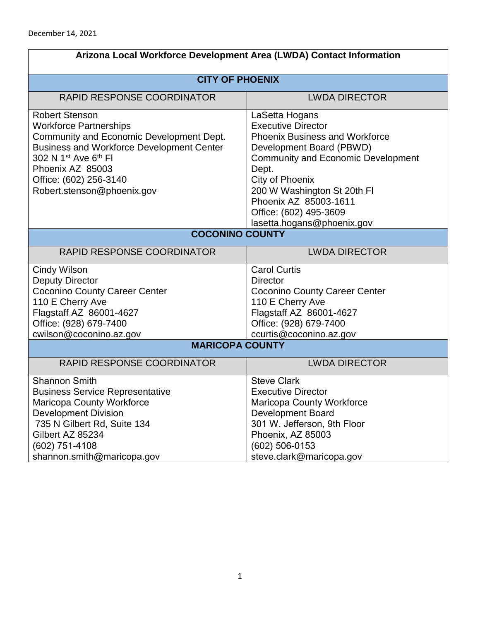| Arizona Local Workforce Development Area (LWDA) Contact Information                                                                                                                                                                                                                |                                                                                                                                                                                                                                                                                                                  |  |
|------------------------------------------------------------------------------------------------------------------------------------------------------------------------------------------------------------------------------------------------------------------------------------|------------------------------------------------------------------------------------------------------------------------------------------------------------------------------------------------------------------------------------------------------------------------------------------------------------------|--|
| <b>CITY OF PHOENIX</b>                                                                                                                                                                                                                                                             |                                                                                                                                                                                                                                                                                                                  |  |
| <b>RAPID RESPONSE COORDINATOR</b>                                                                                                                                                                                                                                                  | <b>LWDA DIRECTOR</b>                                                                                                                                                                                                                                                                                             |  |
| <b>Robert Stenson</b><br><b>Workforce Partnerships</b><br>Community and Economic Development Dept.<br><b>Business and Workforce Development Center</b><br>302 N 1 <sup>st</sup> Ave 6 <sup>th</sup> FI<br>Phoenix AZ 85003<br>Office: (602) 256-3140<br>Robert.stenson@phoenix.gov | LaSetta Hogans<br><b>Executive Director</b><br><b>Phoenix Business and Workforce</b><br>Development Board (PBWD)<br><b>Community and Economic Development</b><br>Dept.<br><b>City of Phoenix</b><br>200 W Washington St 20th FI<br>Phoenix AZ 85003-1611<br>Office: (602) 495-3609<br>lasetta.hogans@phoenix.gov |  |
| <b>COCONINO COUNTY</b>                                                                                                                                                                                                                                                             |                                                                                                                                                                                                                                                                                                                  |  |
| <b>RAPID RESPONSE COORDINATOR</b>                                                                                                                                                                                                                                                  | <b>LWDA DIRECTOR</b>                                                                                                                                                                                                                                                                                             |  |
| <b>Cindy Wilson</b><br><b>Deputy Director</b><br><b>Coconino County Career Center</b><br>110 E Cherry Ave<br>Flagstaff AZ 86001-4627<br>Office: (928) 679-7400<br>cwilson@coconino.az.gov                                                                                          | <b>Carol Curtis</b><br><b>Director</b><br><b>Coconino County Career Center</b><br>110 E Cherry Ave<br>Flagstaff AZ 86001-4627<br>Office: (928) 679-7400<br>ccurtis@coconino.az.gov                                                                                                                               |  |
| <b>MARICOPA COUNTY</b>                                                                                                                                                                                                                                                             |                                                                                                                                                                                                                                                                                                                  |  |
| <b>RAPID RESPONSE COORDINATOR</b>                                                                                                                                                                                                                                                  | <b>LWDA DIRECTOR</b>                                                                                                                                                                                                                                                                                             |  |
| <b>Shannon Smith</b><br><b>Business Service Representative</b><br><b>Maricopa County Workforce</b><br><b>Development Division</b><br>735 N Gilbert Rd, Suite 134<br>Gilbert AZ 85234<br>(602) 751-4108<br>shannon.smith@maricopa.gov                                               | <b>Steve Clark</b><br><b>Executive Director</b><br><b>Maricopa County Workforce</b><br><b>Development Board</b><br>301 W. Jefferson, 9th Floor<br>Phoenix, AZ 85003<br>(602) 506-0153<br>steve.clark@maricopa.gov                                                                                                |  |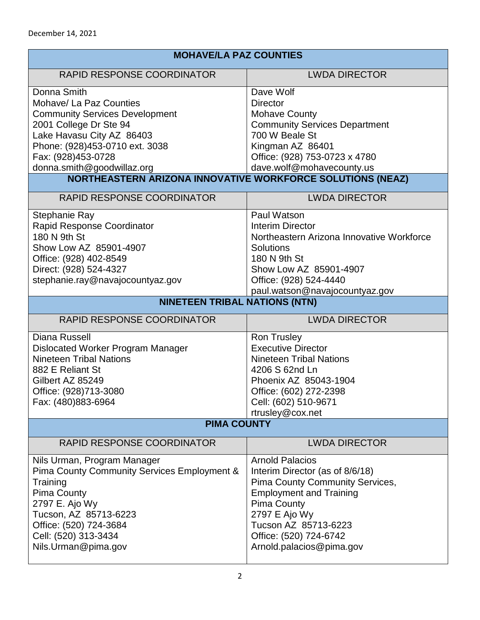| <b>MOHAVE/LA PAZ COUNTIES</b>                              |                                           |  |
|------------------------------------------------------------|-------------------------------------------|--|
| <b>RAPID RESPONSE COORDINATOR</b>                          | <b>LWDA DIRECTOR</b>                      |  |
| Donna Smith                                                | Dave Wolf                                 |  |
| Mohave/ La Paz Counties                                    | <b>Director</b>                           |  |
| <b>Community Services Development</b>                      | <b>Mohave County</b>                      |  |
| 2001 College Dr Ste 94                                     | <b>Community Services Department</b>      |  |
| Lake Havasu City AZ 86403                                  | 700 W Beale St                            |  |
| Phone: (928)453-0710 ext. 3038                             | Kingman AZ 86401                          |  |
| Fax: (928)453-0728                                         | Office: (928) 753-0723 x 4780             |  |
| donna.smith@goodwillaz.org                                 | dave.wolf@mohavecounty.us                 |  |
| NORTHEASTERN ARIZONA INNOVATIVE WORKFORCE SOLUTIONS (NEAZ) |                                           |  |
| RAPID RESPONSE COORDINATOR                                 | <b>LWDA DIRECTOR</b>                      |  |
| Stephanie Ray                                              | Paul Watson                               |  |
| Rapid Response Coordinator                                 | <b>Interim Director</b>                   |  |
| 180 N 9th St                                               | Northeastern Arizona Innovative Workforce |  |
| Show Low AZ 85901-4907                                     | <b>Solutions</b>                          |  |
| Office: (928) 402-8549                                     | 180 N 9th St                              |  |
| Direct: (928) 524-4327                                     | Show Low AZ 85901-4907                    |  |
| stephanie.ray@navajocountyaz.gov                           | Office: (928) 524-4440                    |  |
|                                                            | paul.watson@navajocountyaz.gov            |  |
| <b>NINETEEN TRIBAL NATIONS (NTN)</b>                       |                                           |  |
|                                                            |                                           |  |
| RAPID RESPONSE COORDINATOR                                 | <b>LWDA DIRECTOR</b>                      |  |
| <b>Diana Russell</b>                                       | <b>Ron Trusley</b>                        |  |
| Dislocated Worker Program Manager                          | <b>Executive Director</b>                 |  |
| <b>Nineteen Tribal Nations</b>                             | <b>Nineteen Tribal Nations</b>            |  |
| 882 E Reliant St                                           | 4206 S 62nd Ln                            |  |
| Gilbert AZ 85249                                           | Phoenix AZ 85043-1904                     |  |
| Office: (928)713-3080                                      | Office: (602) 272-2398                    |  |
| Fax: (480)883-6964                                         | Cell: (602) 510-9671                      |  |
|                                                            | rtrusley@cox.net                          |  |
| <b>PIMA COUNTY</b>                                         |                                           |  |
| RAPID RESPONSE COORDINATOR                                 | <b>LWDA DIRECTOR</b>                      |  |
| Nils Urman, Program Manager                                | <b>Arnold Palacios</b>                    |  |
| Pima County Community Services Employment &                | Interim Director (as of 8/6/18)           |  |
| Training                                                   | Pima County Community Services,           |  |
| Pima County                                                | <b>Employment and Training</b>            |  |
| 2797 E. Ajo Wy                                             | Pima County                               |  |
| Tucson, AZ 85713-6223                                      | 2797 E Ajo Wy                             |  |
| Office: (520) 724-3684                                     | Tucson AZ 85713-6223                      |  |
| Cell: (520) 313-3434                                       | Office: (520) 724-6742                    |  |
| Nils.Urman@pima.gov                                        | Arnold.palacios@pima.gov                  |  |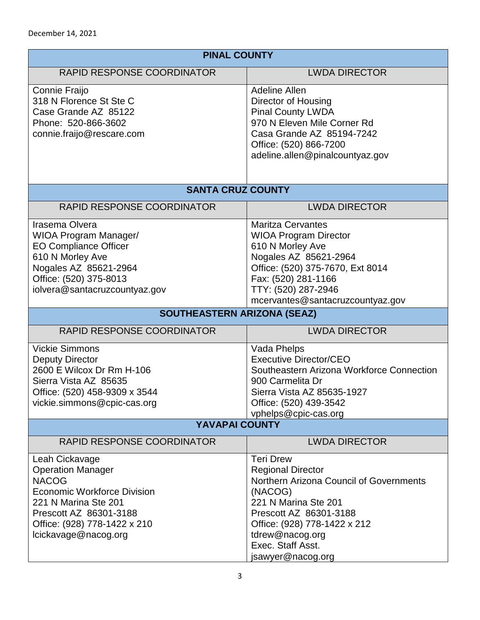| <b>PINAL COUNTY</b>                                                                                                                                                                                        |                                                                                                                                                                                                                                                   |  |
|------------------------------------------------------------------------------------------------------------------------------------------------------------------------------------------------------------|---------------------------------------------------------------------------------------------------------------------------------------------------------------------------------------------------------------------------------------------------|--|
| <b>RAPID RESPONSE COORDINATOR</b>                                                                                                                                                                          | <b>LWDA DIRECTOR</b>                                                                                                                                                                                                                              |  |
| Connie Fraijo<br>318 N Florence St Ste C<br>Case Grande AZ 85122<br>Phone: 520-866-3602<br>connie.fraijo@rescare.com                                                                                       | <b>Adeline Allen</b><br>Director of Housing<br><b>Pinal County LWDA</b><br>970 N Eleven Mile Corner Rd<br>Casa Grande AZ 85194-7242<br>Office: (520) 866-7200<br>adeline.allen@pinalcountyaz.gov                                                  |  |
| <b>SANTA CRUZ COUNTY</b>                                                                                                                                                                                   |                                                                                                                                                                                                                                                   |  |
| <b>RAPID RESPONSE COORDINATOR</b>                                                                                                                                                                          | <b>LWDA DIRECTOR</b>                                                                                                                                                                                                                              |  |
| Irasema Olvera<br><b>WIOA Program Manager/</b><br><b>EO Compliance Officer</b><br>610 N Morley Ave<br>Nogales AZ 85621-2964<br>Office: (520) 375-8013<br>iolvera@santacruzcountyaz.gov                     | <b>Maritza Cervantes</b><br><b>WIOA Program Director</b><br>610 N Morley Ave<br>Nogales AZ 85621-2964<br>Office: (520) 375-7670, Ext 8014<br>Fax: (520) 281-1166<br>TTY: (520) 287-2946<br>mcervantes@santacruzcountyaz.gov                       |  |
| SOUTHEASTERN ARIZONA (SEAZ)                                                                                                                                                                                |                                                                                                                                                                                                                                                   |  |
| <b>RAPID RESPONSE COORDINATOR</b>                                                                                                                                                                          | <b>LWDA DIRECTOR</b>                                                                                                                                                                                                                              |  |
| <b>Vickie Simmons</b><br><b>Deputy Director</b><br>2600 E Wilcox Dr Rm H-106<br>Sierra Vista AZ 85635<br>Office: (520) 458-9309 x 3544<br>vickie.simmons@cpic-cas.org                                      | Vada Phelps<br><b>Executive Director/CEO</b><br>Southeastern Arizona Workforce Connection<br>900 Carmelita Dr<br>Sierra Vista AZ 85635-1927<br>Office: (520) 439-3542<br>vphelps@cpic-cas.org                                                     |  |
| YAVAPAI COUNTY                                                                                                                                                                                             |                                                                                                                                                                                                                                                   |  |
| RAPID RESPONSE COORDINATOR                                                                                                                                                                                 | <b>LWDA DIRECTOR</b>                                                                                                                                                                                                                              |  |
| Leah Cickavage<br><b>Operation Manager</b><br><b>NACOG</b><br><b>Economic Workforce Division</b><br>221 N Marina Ste 201<br>Prescott AZ 86301-3188<br>Office: (928) 778-1422 x 210<br>lcickavage@nacog.org | <b>Teri Drew</b><br><b>Regional Director</b><br>Northern Arizona Council of Governments<br>(NACOG)<br>221 N Marina Ste 201<br>Prescott AZ 86301-3188<br>Office: (928) 778-1422 x 212<br>tdrew@nacog.org<br>Exec. Staff Asst.<br>jsawyer@nacog.org |  |